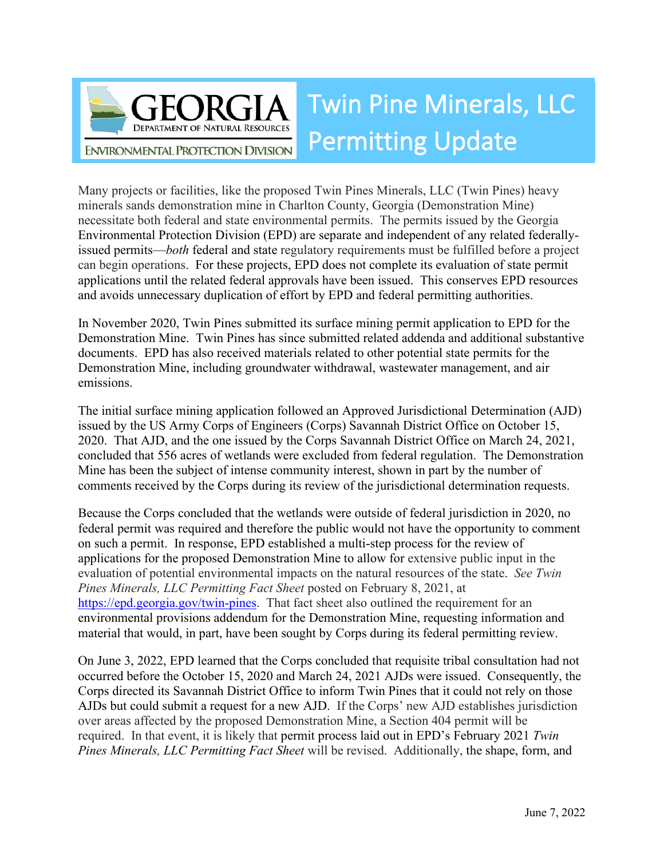

Many projects or facilities, like the proposed Twin Pines Minerals, LLC (Twin Pines) heavy minerals sands demonstration mine in Charlton County, Georgia (Demonstration Mine) necessitate both federal and state environmental permits. The permits issued by the Georgia Environmental Protection Division (EPD) are separate and independent of any related federallyissued permits—*both* federal and state regulatory requirements must be fulfilled before a project can begin operations. For these projects, EPD does not complete its evaluation of state permit applications until the related federal approvals have been issued. This conserves EPD resources and avoids unnecessary duplication of effort by EPD and federal permitting authorities.

In November 2020, Twin Pines submitted its surface mining permit application to EPD for the Demonstration Mine. Twin Pines has since submitted related addenda and additional substantive documents. EPD has also received materials related to other potential state permits for the Demonstration Mine, including groundwater withdrawal, wastewater management, and air emissions.

The initial surface mining application followed an Approved Jurisdictional Determination (AJD) issued by the US Army Corps of Engineers (Corps) Savannah District Office on October 15, 2020. That AJD, and the one issued by the Corps Savannah District Office on March 24, 2021, concluded that 556 acres of wetlands were excluded from federal regulation. The Demonstration Mine has been the subject of intense community interest, shown in part by the number of comments received by the Corps during its review of the jurisdictional determination requests.

Because the Corps concluded that the wetlands were outside of federal jurisdiction in 2020, no federal permit was required and therefore the public would not have the opportunity to comment on such a permit. In response, EPD established a multi-step process for the review of applications for the proposed Demonstration Mine to allow for extensive public input in the evaluation of potential environmental impacts on the natural resources of the state. *See Twin Pines Minerals, LLC Permitting Fact Sheet* posted on February 8, 2021, at [https://epd.georgia.gov/twin-pines.](https://epd.georgia.gov/twin-pines) That fact sheet also outlined the requirement for an environmental provisions addendum for the Demonstration Mine, requesting information and material that would, in part, have been sought by Corps during its federal permitting review.

On June 3, 2022, EPD learned that the Corps concluded that requisite tribal consultation had not occurred before the October 15, 2020 and March 24, 2021 AJDs were issued. Consequently, the Corps directed its Savannah District Office to inform Twin Pines that it could not rely on those AJDs but could submit a request for a new AJD. If the Corps' new AJD establishes jurisdiction over areas affected by the proposed Demonstration Mine, a Section 404 permit will be required. In that event, it is likely that permit process laid out in EPD's February 2021 *Twin Pines Minerals, LLC Permitting Fact Sheet* will be revised. Additionally, the shape, form, and